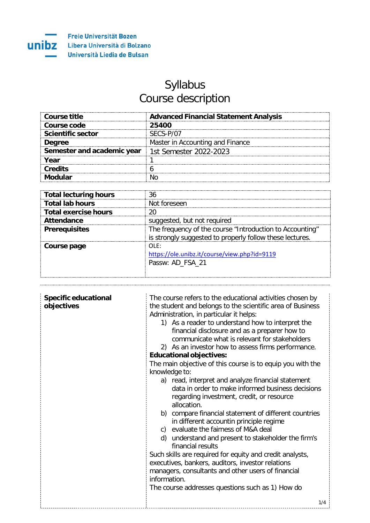

## Syllabus Course description

| Course title               | <b>Advanced Financial Statement Analysis</b> |
|----------------------------|----------------------------------------------|
| Course code                | 25400                                        |
| <b>Scientific sector</b>   | SECS-P/07                                    |
| <b>Degree</b>              | Master in Accounting and Finance             |
| Semester and academic year | 1st Semester 2022-2023                       |
| Year                       |                                              |
| Credits                    |                                              |
|                            |                                              |

| <b>Total lecturing hours</b> | 36                                                                                                                   |
|------------------------------|----------------------------------------------------------------------------------------------------------------------|
| <b>Total lab hours</b>       | Not foreseen                                                                                                         |
| <b>Total exercise hours</b>  |                                                                                                                      |
| <b>Attendance</b>            | suggested, but not required                                                                                          |
| <b>Prerequisites</b>         | The frequency of the course "Introduction to Accounting"<br>is strongly suggested to properly follow these lectures. |
| Course page                  | ∩I F∙<br>https://ole.unibz.it/course/view.php?id=9119<br>Passw: AD_FSA_21                                            |

| <b>Specific educational</b><br>objectives | The course refers to the educational activities chosen by<br>the student and belongs to the scientific area of Business<br>Administration, in particular it helps:<br>1) As a reader to understand how to interpret the<br>financial disclosure and as a preparer how to<br>communicate what is relevant for stakeholders<br>2) As an investor how to assess firms performance.             |  |  |  |
|-------------------------------------------|---------------------------------------------------------------------------------------------------------------------------------------------------------------------------------------------------------------------------------------------------------------------------------------------------------------------------------------------------------------------------------------------|--|--|--|
|                                           | <b>Educational objectives:</b>                                                                                                                                                                                                                                                                                                                                                              |  |  |  |
|                                           | The main objective of this course is to equip you with the<br>knowledge to:                                                                                                                                                                                                                                                                                                                 |  |  |  |
|                                           | a) read, interpret and analyze financial statement<br>data in order to make informed business decisions<br>regarding investment, credit, or resource<br>allocation.<br>b) compare financial statement of different countries<br>in different accountin principle regime<br>c) evaluate the fairness of M&A deal<br>d) understand and present to stakeholder the firm's<br>financial results |  |  |  |
|                                           | Such skills are required for equity and credit analysts,                                                                                                                                                                                                                                                                                                                                    |  |  |  |
|                                           | executives, bankers, auditors, investor relations<br>managers, consultants and other users of financial                                                                                                                                                                                                                                                                                     |  |  |  |
|                                           | information.                                                                                                                                                                                                                                                                                                                                                                                |  |  |  |
|                                           | The course addresses questions such as 1) How do                                                                                                                                                                                                                                                                                                                                            |  |  |  |
|                                           | 1/4                                                                                                                                                                                                                                                                                                                                                                                         |  |  |  |
|                                           |                                                                                                                                                                                                                                                                                                                                                                                             |  |  |  |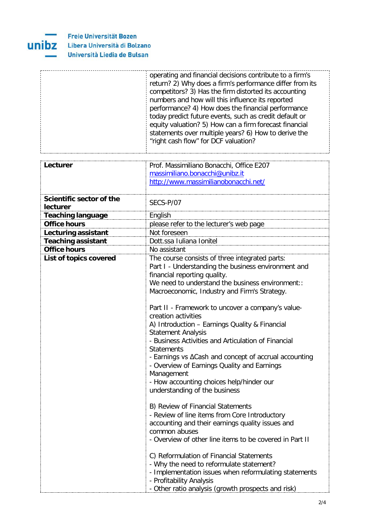

|                                      | operating and financial decisions contribute to a firm's<br>return? 2) Why does a firm's performance differ from its<br>competitors? 3) Has the firm distorted its accounting<br>numbers and how will this influence its reported<br>performance? 4) How does the financial performance<br>today predict future events, such as credit default or<br>equity valuation? 5) How can a firm forecast financial<br>statements over multiple years? 6) How to derive the<br>"right cash flow" for DCF valuation?                                                                                                                                                                                                                                                                                                                                                                                                                                                                                                                                                                                    |  |  |  |  |
|--------------------------------------|------------------------------------------------------------------------------------------------------------------------------------------------------------------------------------------------------------------------------------------------------------------------------------------------------------------------------------------------------------------------------------------------------------------------------------------------------------------------------------------------------------------------------------------------------------------------------------------------------------------------------------------------------------------------------------------------------------------------------------------------------------------------------------------------------------------------------------------------------------------------------------------------------------------------------------------------------------------------------------------------------------------------------------------------------------------------------------------------|--|--|--|--|
| Lecturer                             | Prof. Massimiliano Bonacchi, Office E207<br>massimiliano.bonacchi@unibz.it<br>http://www.massimilianobonacchi.net/                                                                                                                                                                                                                                                                                                                                                                                                                                                                                                                                                                                                                                                                                                                                                                                                                                                                                                                                                                             |  |  |  |  |
| Scientific sector of the<br>lecturer | SECS-P/07                                                                                                                                                                                                                                                                                                                                                                                                                                                                                                                                                                                                                                                                                                                                                                                                                                                                                                                                                                                                                                                                                      |  |  |  |  |
| <b>Teaching language</b>             | English                                                                                                                                                                                                                                                                                                                                                                                                                                                                                                                                                                                                                                                                                                                                                                                                                                                                                                                                                                                                                                                                                        |  |  |  |  |
| <b>Office hours</b>                  | please refer to the lecturer's web page                                                                                                                                                                                                                                                                                                                                                                                                                                                                                                                                                                                                                                                                                                                                                                                                                                                                                                                                                                                                                                                        |  |  |  |  |
| Lecturing assistant                  | Not foreseen                                                                                                                                                                                                                                                                                                                                                                                                                                                                                                                                                                                                                                                                                                                                                                                                                                                                                                                                                                                                                                                                                   |  |  |  |  |
| <b>Teaching assistant</b>            | Dott.ssa Iuliana Ionitel                                                                                                                                                                                                                                                                                                                                                                                                                                                                                                                                                                                                                                                                                                                                                                                                                                                                                                                                                                                                                                                                       |  |  |  |  |
| <b>Office hours</b>                  | No assistant                                                                                                                                                                                                                                                                                                                                                                                                                                                                                                                                                                                                                                                                                                                                                                                                                                                                                                                                                                                                                                                                                   |  |  |  |  |
| List of topics covered               | The course consists of three integrated parts:<br>Part I - Understanding the business environment and<br>financial reporting quality.<br>We need to understand the business environment::<br>Macroeconomic, Industry and Firm's Strategy.<br>Part II - Framework to uncover a company's value-<br>creation activities<br>A) Introduction - Earnings Quality & Financial<br><b>Statement Analysis</b><br>- Business Activities and Articulation of Financial<br><b>Statements</b><br>- Earnings vs $\Delta$ Cash and concept of accrual accounting<br>- Overview of Earnings Quality and Earnings<br>Management<br>- How accounting choices help/hinder our<br>understanding of the business<br>B) Review of Financial Statements<br>- Review of line items from Core Introductory<br>accounting and their earnings quality issues and<br>common abuses<br>- Overview of other line items to be covered in Part II<br>C) Reformulation of Financial Statements<br>- Why the need to reformulate statement?<br>- Implementation issues when reformulating statements<br>- Profitability Analysis |  |  |  |  |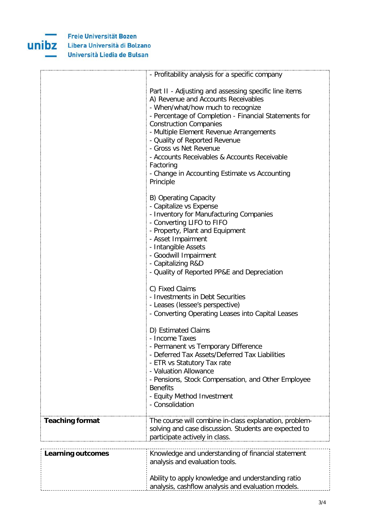

|                          | - Profitability analysis for a specific company                                                                                                                                                                                                                                                                                                                                                                                                              |  |  |  |
|--------------------------|--------------------------------------------------------------------------------------------------------------------------------------------------------------------------------------------------------------------------------------------------------------------------------------------------------------------------------------------------------------------------------------------------------------------------------------------------------------|--|--|--|
|                          | Part II - Adjusting and assessing specific line items<br>A) Revenue and Accounts Receivables<br>- When/what/how much to recognize<br>- Percentage of Completion - Financial Statements for<br><b>Construction Companies</b><br>- Multiple Element Revenue Arrangements<br>- Quality of Reported Revenue<br>- Gross vs Net Revenue<br>- Accounts Receivables & Accounts Receivable<br>Factoring<br>- Change in Accounting Estimate vs Accounting<br>Principle |  |  |  |
|                          | B) Operating Capacity<br>- Capitalize vs Expense<br>- Inventory for Manufacturing Companies<br>- Converting LIFO to FIFO<br>- Property, Plant and Equipment<br>- Asset Impairment<br>- Intangible Assets<br>- Goodwill Impairment<br>- Capitalizing R&D<br>- Quality of Reported PP&E and Depreciation                                                                                                                                                       |  |  |  |
|                          | C) Fixed Claims<br>- Investments in Debt Securities<br>- Leases (lessee's perspective)<br>- Converting Operating Leases into Capital Leases                                                                                                                                                                                                                                                                                                                  |  |  |  |
|                          | D) Estimated Claims<br>- Income Taxes<br>- Permanent vs Temporary Difference<br>- Deferred Tax Assets/Deferred Tax Liabilities<br>- ETR vs Statutory Tax rate<br>- Valuation Allowance<br>- Pensions, Stock Compensation, and Other Employee<br><b>Benefits</b><br>- Equity Method Investment<br>- Consolidation                                                                                                                                             |  |  |  |
| <b>Teaching format</b>   | The course will combine in-class explanation, problem-<br>solving and case discussion. Students are expected to<br>participate actively in class.                                                                                                                                                                                                                                                                                                            |  |  |  |
| <b>Learning outcomes</b> | Knowledge and understanding of financial statement<br>analysis and evaluation tools.<br>Ability to apply knowledge and understanding ratio<br>analysis, cashflow analysis and evaluation models.                                                                                                                                                                                                                                                             |  |  |  |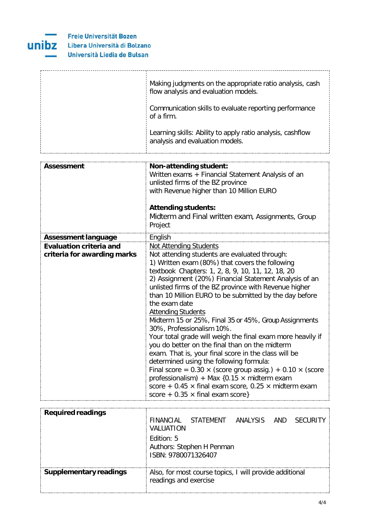

| Making judgments on the appropriate ratio analysis, cash<br>flow analysis and evaluation models. |
|--------------------------------------------------------------------------------------------------|
| Communication skills to evaluate reporting performance<br>of a firm.                             |
| Learning skills: Ability to apply ratio analysis, cashflow<br>analysis and evaluation models.    |

| Assessment                                                    | Non-attending student:<br>Written exams + Financial Statement Analysis of an<br>unlisted firms of the BZ province<br>with Revenue higher than 10 Million EURO<br><b>Attending students:</b><br>Midterm and Final written exam, Assignments, Group<br>Project                                                                                                                                                                                                                                                                                                                                                                                                                                                                                                                                                                                                                                                                                                                   |  |  |  |  |
|---------------------------------------------------------------|--------------------------------------------------------------------------------------------------------------------------------------------------------------------------------------------------------------------------------------------------------------------------------------------------------------------------------------------------------------------------------------------------------------------------------------------------------------------------------------------------------------------------------------------------------------------------------------------------------------------------------------------------------------------------------------------------------------------------------------------------------------------------------------------------------------------------------------------------------------------------------------------------------------------------------------------------------------------------------|--|--|--|--|
| <b>Assessment language</b>                                    | English                                                                                                                                                                                                                                                                                                                                                                                                                                                                                                                                                                                                                                                                                                                                                                                                                                                                                                                                                                        |  |  |  |  |
| <b>Evaluation criteria and</b><br>criteria for awarding marks | <b>Not Attending Students</b><br>Not attending students are evaluated through:<br>1) Written exam (80%) that covers the following<br>textbook Chapters: 1, 2, 8, 9, 10, 11, 12, 18, 20<br>2) Assignment (20%) Financial Statement Analysis of an<br>unlisted firms of the BZ province with Revenue higher<br>than 10 Million EURO to be submitted by the day before<br>the exam date<br><b>Attending Students</b><br>Midterm 15 or 25%, Final 35 or 45%, Group Assignments<br>30%, Professionalism 10%.<br>Your total grade will weigh the final exam more heavily if<br>you do better on the final than on the midterm<br>exam. That is, your final score in the class will be<br>determined using the following formula:<br>Final score = $0.30 \times$ (score group assig.) + $0.10 \times$ (score<br>professionalism) + Max $\{0.15 \times m$ idterm exam<br>score + 0.45 $\times$ final exam score, 0.25 $\times$ midterm exam<br>score + $0.35 \times$ final exam score} |  |  |  |  |
| <b>Required readings</b>                                      |                                                                                                                                                                                                                                                                                                                                                                                                                                                                                                                                                                                                                                                                                                                                                                                                                                                                                                                                                                                |  |  |  |  |

| Required readings      | VALUATION<br>Edition: 5                          | FINANCIAL STATEMENT ANALYSIS AND SECURITY               |  |  |  |  |
|------------------------|--------------------------------------------------|---------------------------------------------------------|--|--|--|--|
|                        | Authors: Stephen H Penman<br>ISBN: 9780071326407 |                                                         |  |  |  |  |
| Supplementary readings | readings and exercise                            | Also, for most course topics, I will provide additional |  |  |  |  |